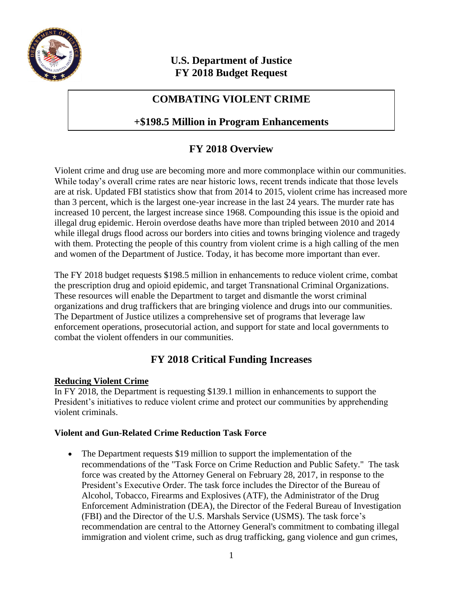

## **U.S. Department of Justice FY 2018 Budget Request**

## **COMBATING VIOLENT CRIME**

## **+\$198.5 Million in Program Enhancements**

# **FY 2018 Overview**

Violent crime and drug use are becoming more and more commonplace within our communities. While today's overall crime rates are near historic lows, recent trends indicate that those levels are at risk. Updated FBI statistics show that from 2014 to 2015, violent crime has increased more than 3 percent, which is the largest one-year increase in the last 24 years. The murder rate has increased 10 percent, the largest increase since 1968. Compounding this issue is the opioid and illegal drug epidemic. Heroin overdose deaths have more than tripled between 2010 and 2014 while illegal drugs flood across our borders into cities and towns bringing violence and tragedy with them. Protecting the people of this country from violent crime is a high calling of the men and women of the Department of Justice. Today, it has become more important than ever.

The FY 2018 budget requests \$198.5 million in enhancements to reduce violent crime, combat the prescription drug and opioid epidemic, and target Transnational Criminal Organizations. These resources will enable the Department to target and dismantle the worst criminal organizations and drug traffickers that are bringing violence and drugs into our communities. The Department of Justice utilizes a comprehensive set of programs that leverage law enforcement operations, prosecutorial action, and support for state and local governments to combat the violent offenders in our communities.

## **FY 2018 Critical Funding Increases**

## **Reducing Violent Crime**

In FY 2018, the Department is requesting \$139.1 million in enhancements to support the President's initiatives to reduce violent crime and protect our communities by apprehending violent criminals.

## **Violent and Gun-Related Crime Reduction Task Force**

• The Department requests \$19 million to support the implementation of the recommendations of the "Task Force on Crime Reduction and Public Safety." The task force was created by the Attorney General on February 28, 2017, in response to the President's Executive Order. The task force includes the Director of the Bureau of Alcohol, Tobacco, Firearms and Explosives (ATF), the Administrator of the Drug Enforcement Administration (DEA), the Director of the Federal Bureau of Investigation (FBI) and the Director of the U.S. Marshals Service (USMS). The task force's recommendation are central to the Attorney General's commitment to combating illegal immigration and violent crime, such as drug trafficking, gang violence and gun crimes,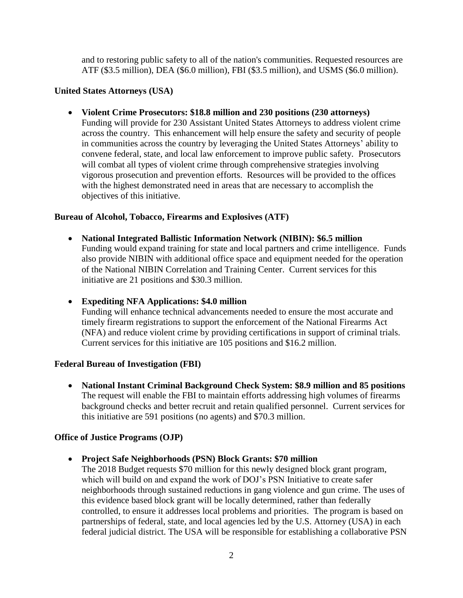and to restoring public safety to all of the nation's communities. Requested resources are ATF (\$3.5 million), DEA (\$6.0 million), FBI (\$3.5 million), and USMS (\$6.0 million).

#### **United States Attorneys (USA)**

**Violent Crime Prosecutors: \$18.8 million and 230 positions (230 attorneys)**

Funding will provide for 230 Assistant United States Attorneys to address violent crime across the country. This enhancement will help ensure the safety and security of people in communities across the country by leveraging the United States Attorneys' ability to convene federal, state, and local law enforcement to improve public safety. Prosecutors will combat all types of violent crime through comprehensive strategies involving vigorous prosecution and prevention efforts. Resources will be provided to the offices with the highest demonstrated need in areas that are necessary to accomplish the objectives of this initiative.

#### **Bureau of Alcohol, Tobacco, Firearms and Explosives (ATF)**

- **National Integrated Ballistic Information Network (NIBIN): \$6.5 million** Funding would expand training for state and local partners and crime intelligence. Funds also provide NIBIN with additional office space and equipment needed for the operation of the National NIBIN Correlation and Training Center. Current services for this initiative are 21 positions and \$30.3 million.
- **Expediting NFA Applications: \$4.0 million** Funding will enhance technical advancements needed to ensure the most accurate and timely firearm registrations to support the enforcement of the National Firearms Act (NFA) and reduce violent crime by providing certifications in support of criminal trials. Current services for this initiative are 105 positions and \$16.2 million.

#### **Federal Bureau of Investigation (FBI)**

 **National Instant Criminal Background Check System: \$8.9 million and 85 positions** The request will enable the FBI to maintain efforts addressing high volumes of firearms background checks and better recruit and retain qualified personnel. Current services for this initiative are 591 positions (no agents) and \$70.3 million.

#### **Office of Justice Programs (OJP)**

#### **Project Safe Neighborhoods (PSN) Block Grants: \$70 million**

The 2018 Budget requests \$70 million for this newly designed block grant program, which will build on and expand the work of DOJ's PSN Initiative to create safer neighborhoods through sustained reductions in gang violence and gun crime. The uses of this evidence based block grant will be locally determined, rather than federally controlled, to ensure it addresses local problems and priorities. The program is based on partnerships of federal, state, and local agencies led by the U.S. Attorney (USA) in each federal judicial district. The USA will be responsible for establishing a collaborative PSN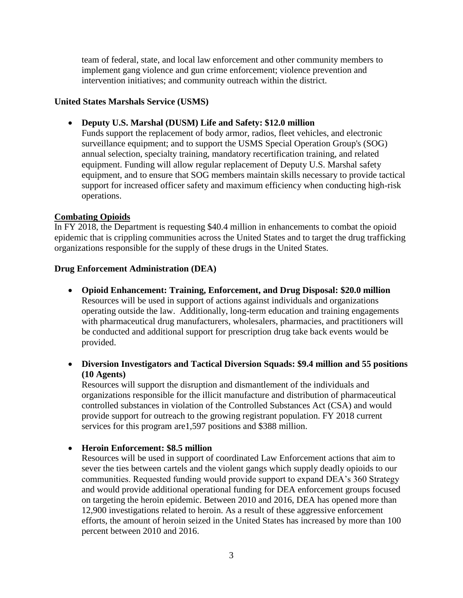team of federal, state, and local law enforcement and other community members to implement gang violence and gun crime enforcement; violence prevention and intervention initiatives; and community outreach within the district.

#### **United States Marshals Service (USMS)**

**Deputy U.S. Marshal (DUSM) Life and Safety: \$12.0 million**

Funds support the replacement of body armor, radios, fleet vehicles, and electronic surveillance equipment; and to support the USMS Special Operation Group's (SOG) annual selection, specialty training, mandatory recertification training, and related equipment. Funding will allow regular replacement of Deputy U.S. Marshal safety equipment, and to ensure that SOG members maintain skills necessary to provide tactical support for increased officer safety and maximum efficiency when conducting high-risk operations.

#### **Combating Opioids**

In FY 2018, the Department is requesting \$40.4 million in enhancements to combat the opioid epidemic that is crippling communities across the United States and to target the drug trafficking organizations responsible for the supply of these drugs in the United States.

#### **Drug Enforcement Administration (DEA)**

- **Opioid Enhancement: Training, Enforcement, and Drug Disposal: \$20.0 million** Resources will be used in support of actions against individuals and organizations operating outside the law. Additionally, long-term education and training engagements with pharmaceutical drug manufacturers, wholesalers, pharmacies, and practitioners will be conducted and additional support for prescription drug take back events would be provided.
- **Diversion Investigators and Tactical Diversion Squads: \$9.4 million and 55 positions (10 Agents)**

Resources will support the disruption and dismantlement of the individuals and organizations responsible for the illicit manufacture and distribution of pharmaceutical controlled substances in violation of the Controlled Substances Act (CSA) and would provide support for outreach to the growing registrant population. FY 2018 current services for this program are 1,597 positions and \$388 million.

#### **Heroin Enforcement: \$8.5 million**

Resources will be used in support of coordinated Law Enforcement actions that aim to sever the ties between cartels and the violent gangs which supply deadly opioids to our communities. Requested funding would provide support to expand DEA's 360 Strategy and would provide additional operational funding for DEA enforcement groups focused on targeting the heroin epidemic. Between 2010 and 2016, DEA has opened more than 12,900 investigations related to heroin. As a result of these aggressive enforcement efforts, the amount of heroin seized in the United States has increased by more than 100 percent between 2010 and 2016.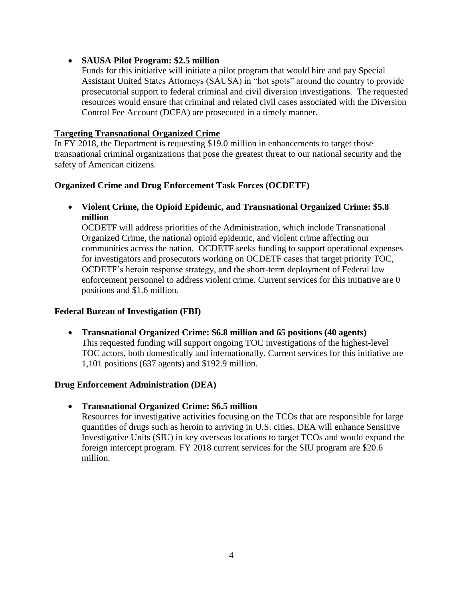#### **SAUSA Pilot Program: \$2.5 million**

Funds for this initiative will initiate a pilot program that would hire and pay Special Assistant United States Attorneys (SAUSA) in "hot spots" around the country to provide prosecutorial support to federal criminal and civil diversion investigations. The requested resources would ensure that criminal and related civil cases associated with the Diversion Control Fee Account (DCFA) are prosecuted in a timely manner.

### **Targeting Transnational Organized Crime**

In FY 2018, the Department is requesting \$19.0 million in enhancements to target those transnational criminal organizations that pose the greatest threat to our national security and the safety of American citizens.

### **Organized Crime and Drug Enforcement Task Forces (OCDETF)**

 **Violent Crime, the Opioid Epidemic, and Transnational Organized Crime: \$5.8 million**

OCDETF will address priorities of the Administration, which include Transnational Organized Crime, the national opioid epidemic, and violent crime affecting our communities across the nation. OCDETF seeks funding to support operational expenses for investigators and prosecutors working on OCDETF cases that target priority TOC, OCDETF's heroin response strategy, and the short-term deployment of Federal law enforcement personnel to address violent crime. Current services for this initiative are 0 positions and \$1.6 million.

#### **Federal Bureau of Investigation (FBI)**

 **Transnational Organized Crime: \$6.8 million and 65 positions (40 agents)** This requested funding will support ongoing TOC investigations of the highest-level TOC actors, both domestically and internationally. Current services for this initiative are 1,101 positions (637 agents) and \$192.9 million.

#### **Drug Enforcement Administration (DEA)**

**Transnational Organized Crime: \$6.5 million**

Resources for investigative activities focusing on the TCOs that are responsible for large quantities of drugs such as heroin to arriving in U.S. cities. DEA will enhance Sensitive Investigative Units (SIU) in key overseas locations to target TCOs and would expand the foreign intercept program. FY 2018 current services for the SIU program are \$20.6 million.